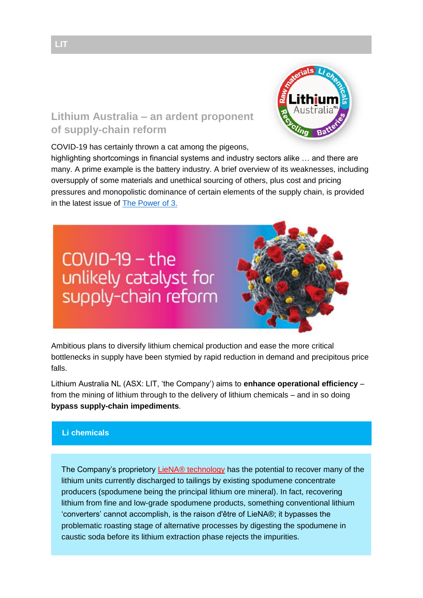## **Lithium Australia – an ardent proponent of supply-chain reform**

COVID-19 has certainly thrown a cat among the pigeons,

highlighting shortcomings in financial systems and industry sectors alike … and there are many. A prime example is the battery industry. A brief overview of its weaknesses, including oversupply of some materials and unethical sourcing of others, plus cost and pricing pressures and monopolistic dominance of certain elements of the supply chain, is provided in the latest issue of [The Power of 3.](http://lithium-au.com/wp-content/uploads/2016/11/The-Power-of-3_ISSUE-34.pdf?utm_source=Investors&utm_campaign=39067d0c84-EMAIL_CAMPAIGN_2019_08_30_03_58_COPY_02&utm_medium=email&utm_term=0_25617522fe-39067d0c84-1209014117)



Ambitious plans to diversify lithium chemical production and ease the more critical bottlenecks in supply have been stymied by rapid reduction in demand and precipitous price falls.

Lithium Australia NL (ASX: LIT, 'the Company') aims to **enhance operational efficiency** – from the mining of lithium through to the delivery of lithium chemicals – and in so doing **bypass supply-chain impediments**.

## **Li chemicals**

The Company's proprietory [LieNA® technology](https://lithium-au.com/about-liena/?utm_source=Investors&utm_campaign=39067d0c84-EMAIL_CAMPAIGN_2019_08_30_03_58_COPY_02&utm_medium=email&utm_term=0_25617522fe-39067d0c84-1209014117) has the potential to recover many of the lithium units currently discharged to tailings by existing spodumene concentrate producers (spodumene being the principal lithium ore mineral). In fact, recovering lithium from fine and low-grade spodumene products, something conventional lithium 'converters' cannot accomplish, is the raison d'être of LieNA®; it bypasses the problematic roasting stage of alternative processes by digesting the spodumene in caustic soda before its lithium extraction phase rejects the impurities.